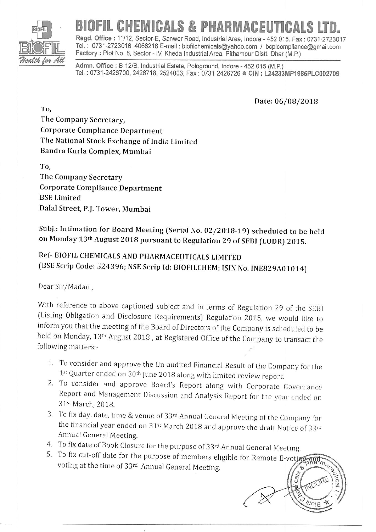

## CHEMICALS & PHARMACEUT

Regd. Office : 11/12, Sector-E, Sanwer Road, Industrial Area, Indore - 452 015. Fax : 0731-2723017 fel. . 0731-2723016,4066216 E-mail : biofilchemicals@yahoo.com / bcplcompliance@gmail.com Factory : Plot No. 8, Sector - IV, Kheda Industrial Area, Pithampur Distt. Dhar (M.P.)

Admn. Office : B-12/B, Industrial Estate, Pologround, Indore - 452 015 (M.P.) Tel.: 0731-2426700, 2426718, 2524003, Fax: 0731-2426726 . CIN: L24233MP1985PLC002709

Date: 06/08/2018

The Company Secretary, Corporate Compliance Department The National Stock Exchange of India Limited Bandra Kurla Complex, Mumbai

To,

To,

The Company Secretary Corporate Compliance Department BSE Limited Dalal Street, P.J. Tower, Mumbai

Subj.: Intimation for Board Meeting (Serial No. 02/2018-19) scheduled to be held on Monday 13<sup>th</sup> August 2018 pursuant to Regulation 29 of SEBI (LODR) 2015.

## Ref- BIOFIL CHEMICALS AND PHARMACEUTICALS LIMITED (BSE Scrip Code: 524396; NSE Scrip Id: BIOFILCHEM; ISIN No. INE829A01014)

Dear Sir/Madam.

With reference to above captioned subject and in terms of Regulation 29 of the SEBI (Listing Obligation and Disclosure Requirements) Regulation 2015, we would like to inform you that the meeting of the Board of Directors of the Company is scheduled to be held on Monday, 13th August 20IB , at Registered Office of the Company to transact the following matters:-

- 1. To consider and approve the Un-audited Financial Result of the Company for the  $1^{st}$  Quarter ended on  $30^{th}$  June 2018 along with limited review report.
- 2. To consider and approve Board's Report along with Corporate Governance Report and Management Discussion and Analysis Report for the year ended on 31st March, 2018.
- 3. To fix day, date, time & venue of 33rd Annual General Meeting of the Company for the financial year ended on  $31<sup>st</sup>$  March 2018 and approve the draft Notice of  $33<sup>rd</sup>$ Annuai General Meetins.
- 4. To fix date of Book Closure for the purpose of 33rd Annual General Meeting.
- 5. To fix cut-off date for the purpose of members eligible for Remote E-vot $\breve\mu$ voting at the time of 33rd Annual General Meeting.